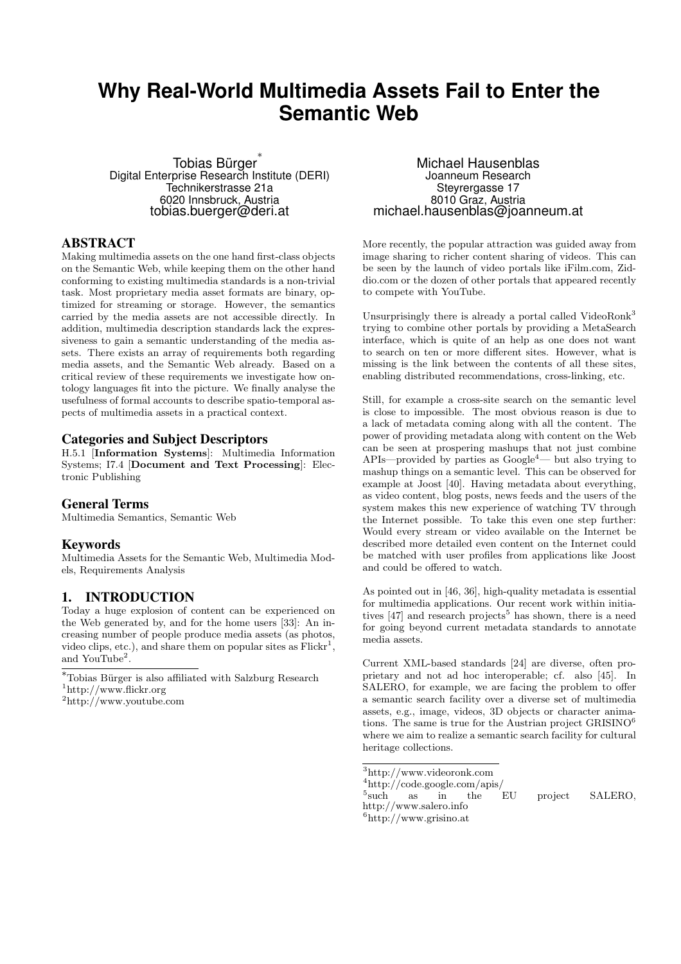# **Why Real-World Multimedia Assets Fail to Enter the Semantic Web**

Tobias Bürger ∗ Digital Enterprise Research Institute (DERI) Technikerstrasse 21a 6020 Innsbruck, Austria tobias.buerger@deri.at

# ABSTRACT

Making multimedia assets on the one hand first-class objects on the Semantic Web, while keeping them on the other hand conforming to existing multimedia standards is a non-trivial task. Most proprietary media asset formats are binary, optimized for streaming or storage. However, the semantics carried by the media assets are not accessible directly. In addition, multimedia description standards lack the expressiveness to gain a semantic understanding of the media assets. There exists an array of requirements both regarding media assets, and the Semantic Web already. Based on a critical review of these requirements we investigate how ontology languages fit into the picture. We finally analyse the usefulness of formal accounts to describe spatio-temporal aspects of multimedia assets in a practical context.

### Categories and Subject Descriptors

H.5.1 [Information Systems]: Multimedia Information Systems; I7.4 [Document and Text Processing]: Electronic Publishing

#### General Terms

Multimedia Semantics, Semantic Web

#### Keywords

Multimedia Assets for the Semantic Web, Multimedia Models, Requirements Analysis

### 1. INTRODUCTION

Today a huge explosion of content can be experienced on the Web generated by, and for the home users [33]: An increasing number of people produce media assets (as photos, video clips, etc.), and share them on popular sites as  $Flickr<sup>1</sup>$ , and YouTube<sup>2</sup>.

Michael Hausenblas Joanneum Research Steyrergasse 17 8010 Graz, Austria michael.hausenblas@joanneum.at

More recently, the popular attraction was guided away from image sharing to richer content sharing of videos. This can be seen by the launch of video portals like iFilm.com, Ziddio.com or the dozen of other portals that appeared recently to compete with YouTube.

Unsurprisingly there is already a portal called VideoRonk<sup>3</sup> trying to combine other portals by providing a MetaSearch interface, which is quite of an help as one does not want to search on ten or more different sites. However, what is missing is the link between the contents of all these sites, enabling distributed recommendations, cross-linking, etc.

Still, for example a cross-site search on the semantic level is close to impossible. The most obvious reason is due to a lack of metadata coming along with all the content. The power of providing metadata along with content on the Web can be seen at prospering mashups that not just combine APIs—provided by parties as Google<sup>4</sup>— but also trying to mashup things on a semantic level. This can be observed for example at Joost [40]. Having metadata about everything, as video content, blog posts, news feeds and the users of the system makes this new experience of watching TV through the Internet possible. To take this even one step further: Would every stream or video available on the Internet be described more detailed even content on the Internet could be matched with user profiles from applications like Joost and could be offered to watch.

As pointed out in [46, 36], high-quality metadata is essential for multimedia applications. Our recent work within initiatives  $[47]$  and research projects<sup>5</sup> has shown, there is a need for going beyond current metadata standards to annotate media assets.

Current XML-based standards [24] are diverse, often proprietary and not ad hoc interoperable; cf. also [45]. In SALERO, for example, we are facing the problem to offer a semantic search facility over a diverse set of multimedia assets, e.g., image, videos, 3D objects or character animations. The same is true for the Austrian project  $GRISINO<sup>6</sup>$ where we aim to realize a semantic search facility for cultural heritage collections.

```
^3http://www.videoronk.com
```
<sup>4</sup>http://code.google.com/apis/

 $^5{\rm such}$ as in the EU project SALERO,

http://www.salero.info

 $6$ http://www.grisino.at

 $^{\ast}$ Tobias Bürger is also affiliated with Salzburg Research <sup>1</sup>http://www.flickr.org

<sup>2</sup>http://www.youtube.com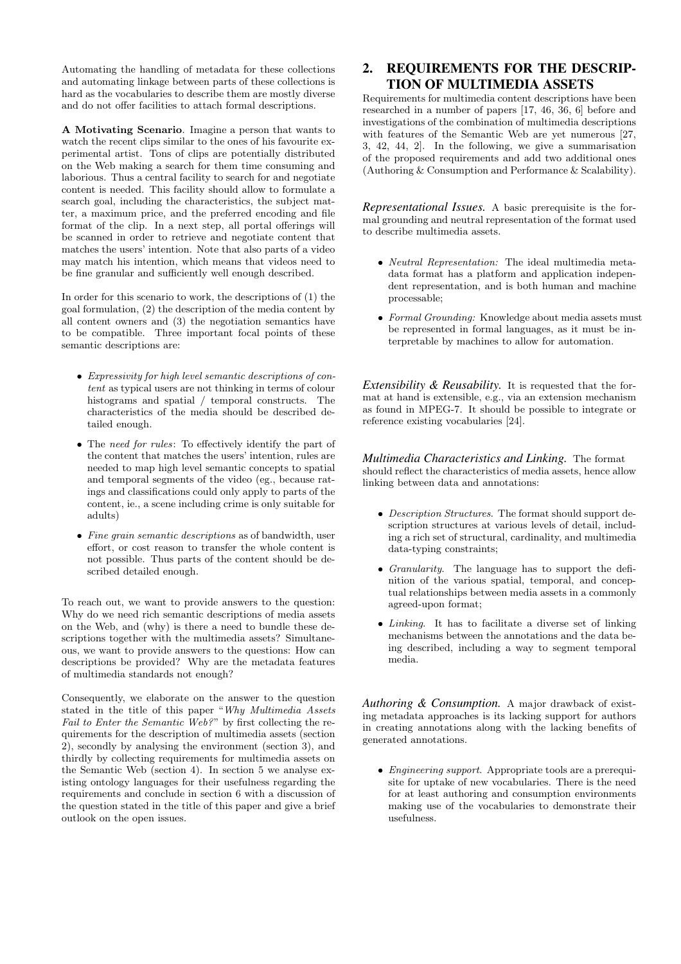Automating the handling of metadata for these collections and automating linkage between parts of these collections is hard as the vocabularies to describe them are mostly diverse and do not offer facilities to attach formal descriptions.

A Motivating Scenario. Imagine a person that wants to watch the recent clips similar to the ones of his favourite experimental artist. Tons of clips are potentially distributed on the Web making a search for them time consuming and laborious. Thus a central facility to search for and negotiate content is needed. This facility should allow to formulate a search goal, including the characteristics, the subject matter, a maximum price, and the preferred encoding and file format of the clip. In a next step, all portal offerings will be scanned in order to retrieve and negotiate content that matches the users' intention. Note that also parts of a video may match his intention, which means that videos need to be fine granular and sufficiently well enough described.

In order for this scenario to work, the descriptions of (1) the goal formulation, (2) the description of the media content by all content owners and (3) the negotiation semantics have to be compatible. Three important focal points of these semantic descriptions are:

- Expressivity for high level semantic descriptions of content as typical users are not thinking in terms of colour histograms and spatial / temporal constructs. The characteristics of the media should be described detailed enough.
- The need for rules: To effectively identify the part of the content that matches the users' intention, rules are needed to map high level semantic concepts to spatial and temporal segments of the video (eg., because ratings and classifications could only apply to parts of the content, ie., a scene including crime is only suitable for adults)
- Fine grain semantic descriptions as of bandwidth, user effort, or cost reason to transfer the whole content is not possible. Thus parts of the content should be described detailed enough.

To reach out, we want to provide answers to the question: Why do we need rich semantic descriptions of media assets on the Web, and (why) is there a need to bundle these descriptions together with the multimedia assets? Simultaneous, we want to provide answers to the questions: How can descriptions be provided? Why are the metadata features of multimedia standards not enough?

Consequently, we elaborate on the answer to the question stated in the title of this paper "Why Multimedia Assets Fail to Enter the Semantic Web?" by first collecting the requirements for the description of multimedia assets (section 2), secondly by analysing the environment (section 3), and thirdly by collecting requirements for multimedia assets on the Semantic Web (section 4). In section 5 we analyse existing ontology languages for their usefulness regarding the requirements and conclude in section 6 with a discussion of the question stated in the title of this paper and give a brief outlook on the open issues.

# 2. REQUIREMENTS FOR THE DESCRIP-TION OF MULTIMEDIA ASSETS

Requirements for multimedia content descriptions have been researched in a number of papers [17, 46, 36, 6] before and investigations of the combination of multimedia descriptions with features of the Semantic Web are yet numerous [27, 3, 42, 44, 2]. In the following, we give a summarisation of the proposed requirements and add two additional ones (Authoring & Consumption and Performance & Scalability).

*Representational Issues.* A basic prerequisite is the formal grounding and neutral representation of the format used to describe multimedia assets.

- Neutral Representation: The ideal multimedia metadata format has a platform and application independent representation, and is both human and machine processable;
- Formal Grounding: Knowledge about media assets must be represented in formal languages, as it must be interpretable by machines to allow for automation.

*Extensibility & Reusability.* It is requested that the format at hand is extensible, e.g., via an extension mechanism as found in MPEG-7. It should be possible to integrate or reference existing vocabularies [24].

*Multimedia Characteristics and Linking.* The format should reflect the characteristics of media assets, hence allow linking between data and annotations:

- Description Structures. The format should support description structures at various levels of detail, including a rich set of structural, cardinality, and multimedia data-typing constraints;
- Granularity. The language has to support the definition of the various spatial, temporal, and conceptual relationships between media assets in a commonly agreed-upon format;
- Linking. It has to facilitate a diverse set of linking mechanisms between the annotations and the data being described, including a way to segment temporal media.

*Authoring & Consumption.* A major drawback of existing metadata approaches is its lacking support for authors in creating annotations along with the lacking benefits of generated annotations.

• Engineering support. Appropriate tools are a prerequisite for uptake of new vocabularies. There is the need for at least authoring and consumption environments making use of the vocabularies to demonstrate their usefulness.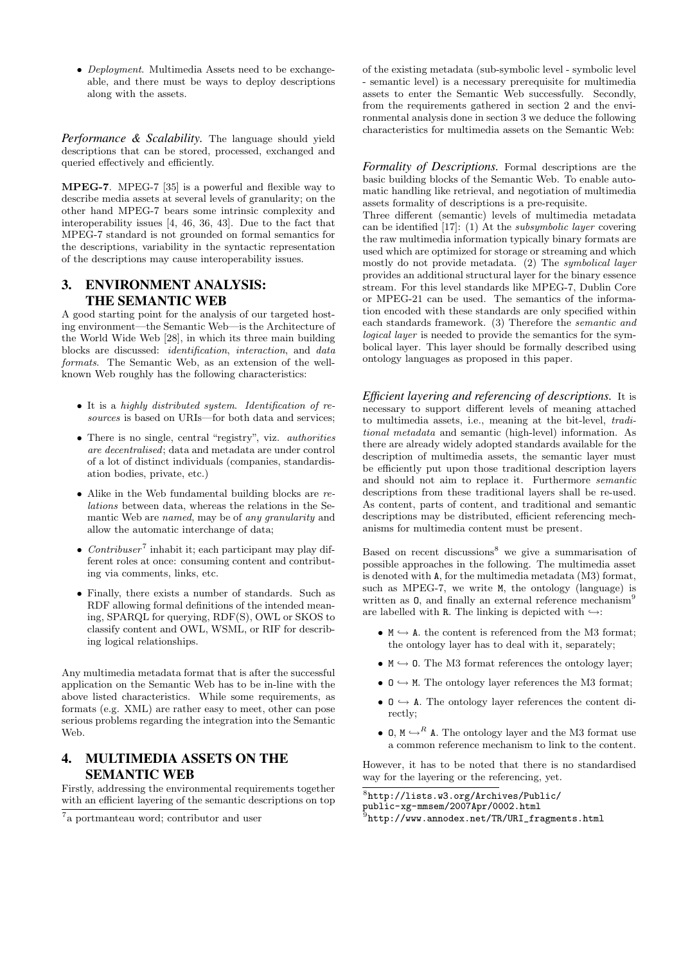• Deployment. Multimedia Assets need to be exchangeable, and there must be ways to deploy descriptions along with the assets.

*Performance & Scalability.* The language should yield descriptions that can be stored, processed, exchanged and queried effectively and efficiently.

MPEG-7. MPEG-7 [35] is a powerful and flexible way to describe media assets at several levels of granularity; on the other hand MPEG-7 bears some intrinsic complexity and interoperability issues [4, 46, 36, 43]. Due to the fact that MPEG-7 standard is not grounded on formal semantics for the descriptions, variability in the syntactic representation of the descriptions may cause interoperability issues.

### 3. ENVIRONMENT ANALYSIS: THE SEMANTIC WEB

A good starting point for the analysis of our targeted hosting environment—the Semantic Web—is the Architecture of the World Wide Web [28], in which its three main building blocks are discussed: identification, interaction, and data formats. The Semantic Web, as an extension of the wellknown Web roughly has the following characteristics:

- It is a highly distributed system. Identification of resources is based on URIs—for both data and services;
- There is no single, central "registry", viz. authorities are decentralised; data and metadata are under control of a lot of distinct individuals (companies, standardisation bodies, private, etc.)
- Alike in the Web fundamental building blocks are relations between data, whereas the relations in the Semantic Web are named, may be of any granularity and allow the automatic interchange of data;
- *Contribuser*<sup>7</sup> inhabit it; each participant may play different roles at once: consuming content and contributing via comments, links, etc.
- Finally, there exists a number of standards. Such as RDF allowing formal definitions of the intended meaning, SPARQL for querying, RDF(S), OWL or SKOS to classify content and OWL, WSML, or RIF for describing logical relationships.

Any multimedia metadata format that is after the successful application on the Semantic Web has to be in-line with the above listed characteristics. While some requirements, as formats (e.g. XML) are rather easy to meet, other can pose serious problems regarding the integration into the Semantic Web.

# 4. MULTIMEDIA ASSETS ON THE SEMANTIC WEB

Firstly, addressing the environmental requirements together with an efficient layering of the semantic descriptions on top

of the existing metadata (sub-symbolic level - symbolic level - semantic level) is a necessary prerequisite for multimedia assets to enter the Semantic Web successfully. Secondly, from the requirements gathered in section 2 and the environmental analysis done in section 3 we deduce the following characteristics for multimedia assets on the Semantic Web:

*Formality of Descriptions.* Formal descriptions are the basic building blocks of the Semantic Web. To enable automatic handling like retrieval, and negotiation of multimedia assets formality of descriptions is a pre-requisite.

Three different (semantic) levels of multimedia metadata can be identified [17]: (1) At the subsymbolic layer covering the raw multimedia information typically binary formats are used which are optimized for storage or streaming and which mostly do not provide metadata. (2) The symbolical layer provides an additional structural layer for the binary essence stream. For this level standards like MPEG-7, Dublin Core or MPEG-21 can be used. The semantics of the information encoded with these standards are only specified within each standards framework. (3) Therefore the semantic and logical layer is needed to provide the semantics for the symbolical layer. This layer should be formally described using ontology languages as proposed in this paper.

*Efficient layering and referencing of descriptions.* It is necessary to support different levels of meaning attached to multimedia assets, i.e., meaning at the bit-level, traditional metadata and semantic (high-level) information. As there are already widely adopted standards available for the description of multimedia assets, the semantic layer must be efficiently put upon those traditional description layers and should not aim to replace it. Furthermore semantic descriptions from these traditional layers shall be re-used. As content, parts of content, and traditional and semantic descriptions may be distributed, efficient referencing mechanisms for multimedia content must be present.

Based on recent discussions<sup>8</sup> we give a summarisation of possible approaches in the following. The multimedia asset is denoted with A, for the multimedia metadata (M3) format, such as MPEG-7, we write M, the ontology (language) is written as 0, and finally an external reference mechanism<sup>9</sup> are labelled with R. The linking is depicted with  $\hookrightarrow$ :

- $M \hookrightarrow A$ . the content is referenced from the M3 format; the ontology layer has to deal with it, separately;
- $M \hookrightarrow 0$ . The M3 format references the ontology layer;
- $0 \hookrightarrow M$ . The ontology layer references the M3 format;
- $0 \leftrightarrow A$ . The ontology layer references the content directly;
- 0,  $M \hookrightarrow^R A$ . The ontology layer and the M3 format use a common reference mechanism to link to the content.

However, it has to be noted that there is no standardised way for the layering or the referencing, yet.

8 http://lists.w3.org/Archives/Public/

public-xg-mmsem/2007Apr/0002.html

<sup>7</sup> a portmanteau word; contributor and user

<sup>&</sup>lt;sup>9</sup>http://www.annodex.net/TR/URI\_fragments.html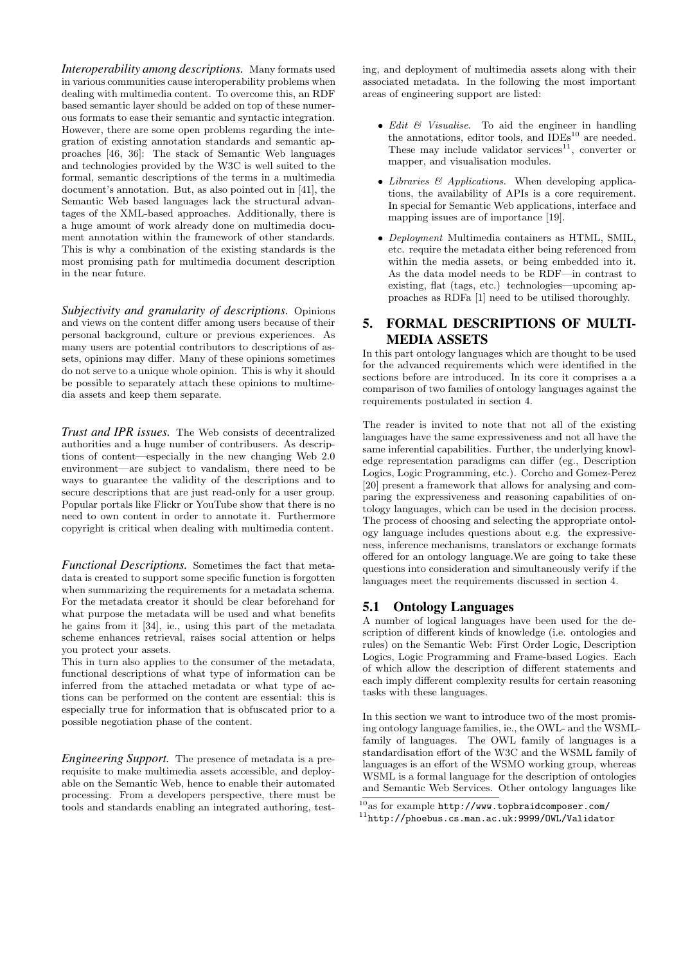*Interoperability among descriptions.* Many formats used in various communities cause interoperability problems when dealing with multimedia content. To overcome this, an RDF based semantic layer should be added on top of these numerous formats to ease their semantic and syntactic integration. However, there are some open problems regarding the integration of existing annotation standards and semantic approaches [46, 36]: The stack of Semantic Web languages and technologies provided by the W3C is well suited to the formal, semantic descriptions of the terms in a multimedia document's annotation. But, as also pointed out in [41], the Semantic Web based languages lack the structural advantages of the XML-based approaches. Additionally, there is a huge amount of work already done on multimedia document annotation within the framework of other standards. This is why a combination of the existing standards is the most promising path for multimedia document description in the near future.

*Subjectivity and granularity of descriptions.* Opinions and views on the content differ among users because of their personal background, culture or previous experiences. As many users are potential contributors to descriptions of assets, opinions may differ. Many of these opinions sometimes do not serve to a unique whole opinion. This is why it should be possible to separately attach these opinions to multimedia assets and keep them separate.

*Trust and IPR issues.* The Web consists of decentralized authorities and a huge number of contribusers. As descriptions of content—especially in the new changing Web 2.0 environment—are subject to vandalism, there need to be ways to guarantee the validity of the descriptions and to secure descriptions that are just read-only for a user group. Popular portals like Flickr or YouTube show that there is no need to own content in order to annotate it. Furthermore copyright is critical when dealing with multimedia content.

*Functional Descriptions.* Sometimes the fact that metadata is created to support some specific function is forgotten when summarizing the requirements for a metadata schema. For the metadata creator it should be clear beforehand for what purpose the metadata will be used and what benefits he gains from it [34], ie., using this part of the metadata scheme enhances retrieval, raises social attention or helps you protect your assets.

This in turn also applies to the consumer of the metadata, functional descriptions of what type of information can be inferred from the attached metadata or what type of actions can be performed on the content are essential: this is especially true for information that is obfuscated prior to a possible negotiation phase of the content.

*Engineering Support.* The presence of metadata is a prerequisite to make multimedia assets accessible, and deployable on the Semantic Web, hence to enable their automated processing. From a developers perspective, there must be tools and standards enabling an integrated authoring, testing, and deployment of multimedia assets along with their associated metadata. In the following the most important areas of engineering support are listed:

- Edit  $\mathcal{C}$  Visualise. To aid the engineer in handling the annotations, editor tools, and  $\overline{IDEs}^{10}$  are needed. These may include validator services $11$ , converter or mapper, and visualisation modules.
- Libraries & Applications. When developing applications, the availability of APIs is a core requirement. In special for Semantic Web applications, interface and mapping issues are of importance [19].
- Deployment Multimedia containers as HTML, SMIL, etc. require the metadata either being referenced from within the media assets, or being embedded into it. As the data model needs to be RDF—in contrast to existing, flat (tags, etc.) technologies—upcoming approaches as RDFa [1] need to be utilised thoroughly.

# 5. FORMAL DESCRIPTIONS OF MULTI-MEDIA ASSETS

In this part ontology languages which are thought to be used for the advanced requirements which were identified in the sections before are introduced. In its core it comprises a a comparison of two families of ontology languages against the requirements postulated in section 4.

The reader is invited to note that not all of the existing languages have the same expressiveness and not all have the same inferential capabilities. Further, the underlying knowledge representation paradigms can differ (eg., Description Logics, Logic Programming, etc.). Corcho and Gomez-Perez [20] present a framework that allows for analysing and comparing the expressiveness and reasoning capabilities of ontology languages, which can be used in the decision process. The process of choosing and selecting the appropriate ontology language includes questions about e.g. the expressiveness, inference mechanisms, translators or exchange formats offered for an ontology language.We are going to take these questions into consideration and simultaneously verify if the languages meet the requirements discussed in section 4.

### 5.1 Ontology Languages

A number of logical languages have been used for the description of different kinds of knowledge (i.e. ontologies and rules) on the Semantic Web: First Order Logic, Description Logics, Logic Programming and Frame-based Logics. Each of which allow the description of different statements and each imply different complexity results for certain reasoning tasks with these languages.

In this section we want to introduce two of the most promising ontology language families, ie., the OWL- and the WSMLfamily of languages. The OWL family of languages is a standardisation effort of the W3C and the WSML family of languages is an effort of the WSMO working group, whereas WSML is a formal language for the description of ontologies and Semantic Web Services. Other ontology languages like

 $^{10}{\rm as}$  for example  ${\tt http://www.tophraidcomposer.com/}$  $^{11}\mathrm{http://phoebus.cs.man.ac.uk:9999/0WL/Validator}$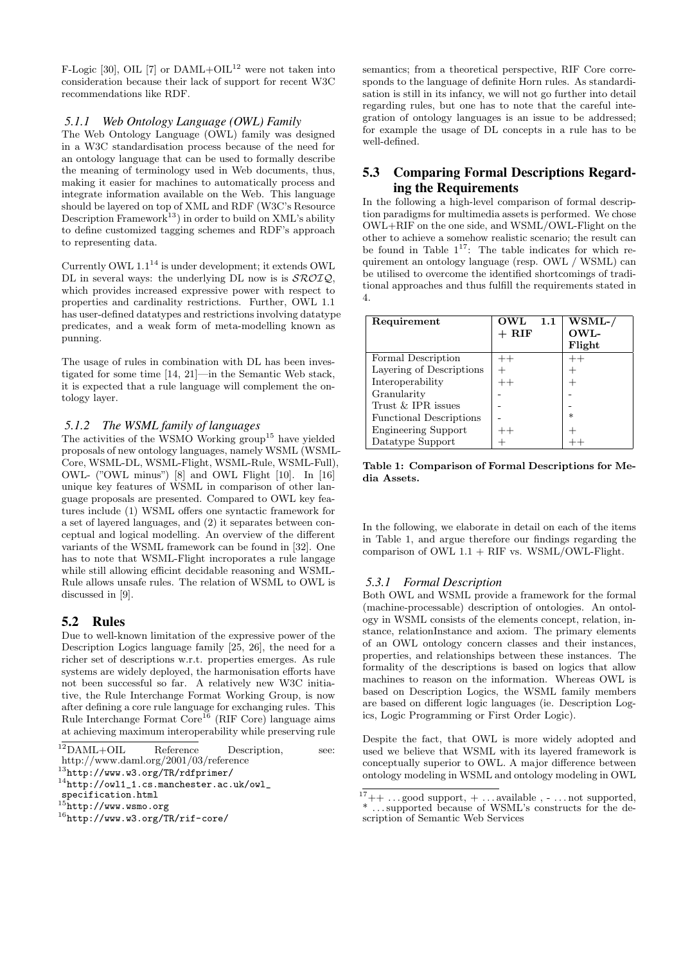F-Logic [30], OIL [7] or DAML+OIL<sup>12</sup> were not taken into consideration because their lack of support for recent W3C recommendations like RDF.

### *5.1.1 Web Ontology Language (OWL) Family*

The Web Ontology Language (OWL) family was designed in a W3C standardisation process because of the need for an ontology language that can be used to formally describe the meaning of terminology used in Web documents, thus, making it easier for machines to automatically process and integrate information available on the Web. This language should be layered on top of XML and RDF (W3C's Resource Description Framework<sup>13</sup>) in order to build on XML's ability to define customized tagging schemes and RDF's approach to representing data.

Currently OWL 1.1<sup>14</sup> is under development; it extends OWL DL in several ways: the underlying DL now is is  $\mathcal{SROIQ}$ , which provides increased expressive power with respect to properties and cardinality restrictions. Further, OWL 1.1 has user-defined datatypes and restrictions involving datatype predicates, and a weak form of meta-modelling known as punning.

The usage of rules in combination with DL has been investigated for some time [14, 21]—in the Semantic Web stack, it is expected that a rule language will complement the ontology layer.

#### *5.1.2 The WSML family of languages*

The activities of the WSMO Working  $\text{group}^{15}$  have yielded proposals of new ontology languages, namely WSML (WSML-Core, WSML-DL, WSML-Flight, WSML-Rule, WSML-Full), OWL- ("OWL minus") [8] and OWL Flight [10]. In [16] unique key features of WSML in comparison of other language proposals are presented. Compared to OWL key features include (1) WSML offers one syntactic framework for a set of layered languages, and (2) it separates between conceptual and logical modelling. An overview of the different variants of the WSML framework can be found in [32]. One has to note that WSML-Flight incroporates a rule langage while still allowing efficint decidable reasoning and WSML-Rule allows unsafe rules. The relation of WSML to OWL is discussed in [9].

#### 5.2 Rules

Due to well-known limitation of the expressive power of the Description Logics language family [25, 26], the need for a richer set of descriptions w.r.t. properties emerges. As rule systems are widely deployed, the harmonisation efforts have not been successful so far. A relatively new W3C initiative, the Rule Interchange Format Working Group, is now after defining a core rule language for exchanging rules. This Rule Interchange Format Core<sup>16</sup> (RIF Core) language aims at achieving maximum interoperability while preserving rule

semantics; from a theoretical perspective, RIF Core corresponds to the language of definite Horn rules. As standardisation is still in its infancy, we will not go further into detail regarding rules, but one has to note that the careful integration of ontology languages is an issue to be addressed; for example the usage of DL concepts in a rule has to be well-defined.

# 5.3 Comparing Formal Descriptions Regarding the Requirements

In the following a high-level comparison of formal description paradigms for multimedia assets is performed. We chose OWL+RIF on the one side, and WSML/OWL-Flight on the other to achieve a somehow realistic scenario; the result can be found in Table  $1^{17}$ : The table indicates for which requirement an ontology language (resp. OWL / WSML) can be utilised to overcome the identified shortcomings of traditional approaches and thus fulfill the requirements stated in 4.

| Requirement                    | OWL<br>1.1       | $\overline{\text{WSML-}}$ |
|--------------------------------|------------------|---------------------------|
|                                | $+~\mathrm{RIF}$ | <b>OWL-</b>               |
|                                |                  | Flight                    |
| Formal Description             | $^{++}$          | $^{++}$                   |
| Layering of Descriptions       |                  |                           |
| Interoperability               | $++$             |                           |
| Granularity                    |                  |                           |
| Trust & IPR issues             |                  |                           |
| <b>Functional Descriptions</b> |                  | $\ast$                    |
| <b>Engineering Support</b>     | $^{++}$          |                           |
| Datatype Support               |                  |                           |

Table 1: Comparison of Formal Descriptions for Media Assets.

In the following, we elaborate in detail on each of the items in Table 1, and argue therefore our findings regarding the comparison of OWL  $1.1 + RIF$  vs. WSML/OWL-Flight.

#### *5.3.1 Formal Description*

Both OWL and WSML provide a framework for the formal (machine-processable) description of ontologies. An ontology in WSML consists of the elements concept, relation, instance, relationInstance and axiom. The primary elements of an OWL ontology concern classes and their instances, properties, and relationships between these instances. The formality of the descriptions is based on logics that allow machines to reason on the information. Whereas OWL is based on Description Logics, the WSML family members are based on different logic languages (ie. Description Logics, Logic Programming or First Order Logic).

Despite the fact, that OWL is more widely adopted and used we believe that WSML with its layered framework is conceptually superior to OWL. A major difference between ontology modeling in WSML and ontology modeling in OWL

<sup>12</sup>DAML+OIL Reference Description, see:

http://www.daml.org/2001/03/reference

 $^{13}$ http://www.w3.org/TR/rdfprimer/

<sup>14</sup>http://owl1\_1.cs.manchester.ac.uk/owl\_

specification.html

 $15$ http://www.wsmo.org

<sup>16</sup>http://www.w3.org/TR/rif-core/

 $17++ \ldots$  good support,  $+ \ldots$  available,  $- \ldots$  not supported, \* . . . supported because of WSML's constructs for the description of Semantic Web Services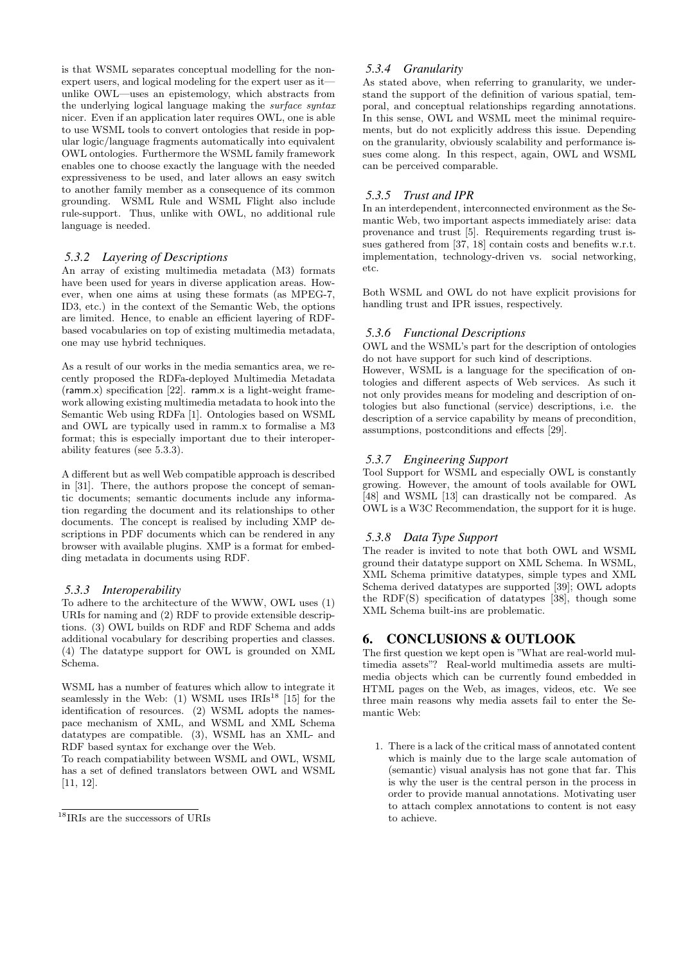is that WSML separates conceptual modelling for the nonexpert users, and logical modeling for the expert user as it unlike OWL—uses an epistemology, which abstracts from the underlying logical language making the surface syntax nicer. Even if an application later requires OWL, one is able to use WSML tools to convert ontologies that reside in popular logic/language fragments automatically into equivalent OWL ontologies. Furthermore the WSML family framework enables one to choose exactly the language with the needed expressiveness to be used, and later allows an easy switch to another family member as a consequence of its common grounding. WSML Rule and WSML Flight also include rule-support. Thus, unlike with OWL, no additional rule language is needed.

### *5.3.2 Layering of Descriptions*

An array of existing multimedia metadata (M3) formats have been used for years in diverse application areas. However, when one aims at using these formats (as MPEG-7, ID3, etc.) in the context of the Semantic Web, the options are limited. Hence, to enable an efficient layering of RDFbased vocabularies on top of existing multimedia metadata, one may use hybrid techniques.

As a result of our works in the media semantics area, we recently proposed the RDFa-deployed Multimedia Metadata (ramm.x) specification [22]. ramm.x is a light-weight framework allowing existing multimedia metadata to hook into the Semantic Web using RDFa [1]. Ontologies based on WSML and OWL are typically used in ramm.x to formalise a M3 format; this is especially important due to their interoperability features (see 5.3.3).

A different but as well Web compatible approach is described in [31]. There, the authors propose the concept of semantic documents; semantic documents include any information regarding the document and its relationships to other documents. The concept is realised by including XMP descriptions in PDF documents which can be rendered in any browser with available plugins. XMP is a format for embedding metadata in documents using RDF.

#### *5.3.3 Interoperability*

To adhere to the architecture of the WWW, OWL uses (1) URIs for naming and (2) RDF to provide extensible descriptions. (3) OWL builds on RDF and RDF Schema and adds additional vocabulary for describing properties and classes. (4) The datatype support for OWL is grounded on XML Schema.

WSML has a number of features which allow to integrate it seamlessly in the Web: (1) WSML uses  $IRIs^{18}$  [15] for the identification of resources. (2) WSML adopts the namespace mechanism of XML, and WSML and XML Schema datatypes are compatible. (3), WSML has an XML- and RDF based syntax for exchange over the Web.

To reach compatiability between WSML and OWL, WSML has a set of defined translators between OWL and WSML [11, 12].

### *5.3.4 Granularity*

As stated above, when referring to granularity, we understand the support of the definition of various spatial, temporal, and conceptual relationships regarding annotations. In this sense, OWL and WSML meet the minimal requirements, but do not explicitly address this issue. Depending on the granularity, obviously scalability and performance issues come along. In this respect, again, OWL and WSML can be perceived comparable.

### *5.3.5 Trust and IPR*

In an interdependent, interconnected environment as the Semantic Web, two important aspects immediately arise: data provenance and trust [5]. Requirements regarding trust issues gathered from [37, 18] contain costs and benefits w.r.t. implementation, technology-driven vs. social networking, etc.

Both WSML and OWL do not have explicit provisions for handling trust and IPR issues, respectively.

#### *5.3.6 Functional Descriptions*

OWL and the WSML's part for the description of ontologies do not have support for such kind of descriptions.

However, WSML is a language for the specification of ontologies and different aspects of Web services. As such it not only provides means for modeling and description of ontologies but also functional (service) descriptions, i.e. the description of a service capability by means of precondition, assumptions, postconditions and effects [29].

### *5.3.7 Engineering Support*

Tool Support for WSML and especially OWL is constantly growing. However, the amount of tools available for OWL [48] and WSML [13] can drastically not be compared. As OWL is a W3C Recommendation, the support for it is huge.

#### *5.3.8 Data Type Support*

The reader is invited to note that both OWL and WSML ground their datatype support on XML Schema. In WSML, XML Schema primitive datatypes, simple types and XML Schema derived datatypes are supported [39]; OWL adopts the RDF(S) specification of datatypes [38], though some XML Schema built-ins are problematic.

### 6. CONCLUSIONS & OUTLOOK

The first question we kept open is "What are real-world multimedia assets"? Real-world multimedia assets are multimedia objects which can be currently found embedded in HTML pages on the Web, as images, videos, etc. We see three main reasons why media assets fail to enter the Semantic Web:

1. There is a lack of the critical mass of annotated content which is mainly due to the large scale automation of (semantic) visual analysis has not gone that far. This is why the user is the central person in the process in order to provide manual annotations. Motivating user to attach complex annotations to content is not easy to achieve.

 $^{18}\rm{IRIs}$  are the successors of URIs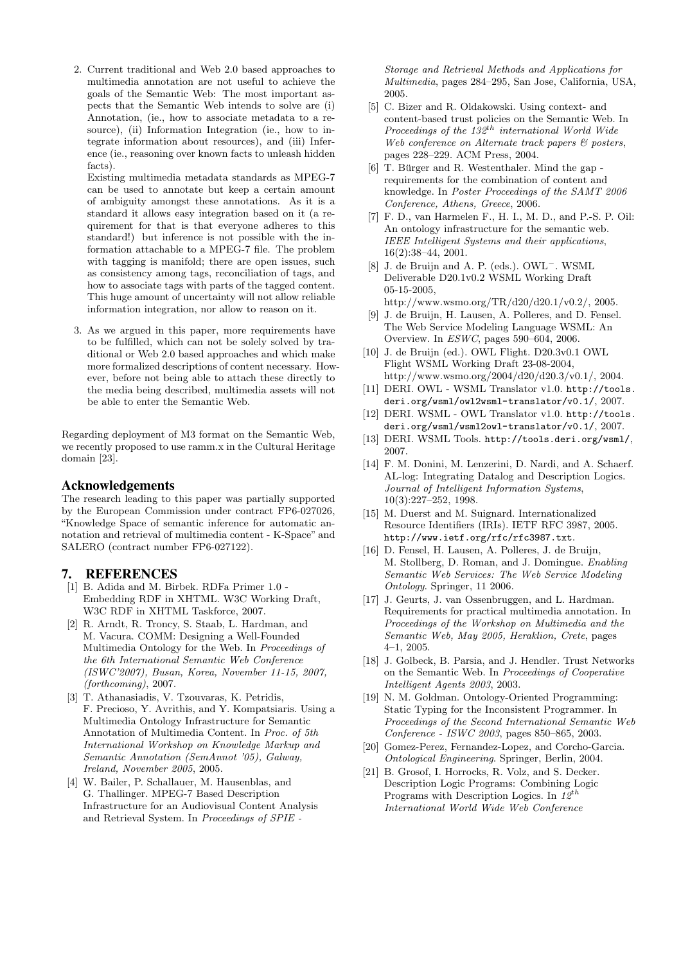2. Current traditional and Web 2.0 based approaches to multimedia annotation are not useful to achieve the goals of the Semantic Web: The most important aspects that the Semantic Web intends to solve are (i) Annotation, (ie., how to associate metadata to a resource), (ii) Information Integration (ie., how to integrate information about resources), and (iii) Inference (ie., reasoning over known facts to unleash hidden facts).

Existing multimedia metadata standards as MPEG-7 can be used to annotate but keep a certain amount of ambiguity amongst these annotations. As it is a standard it allows easy integration based on it (a requirement for that is that everyone adheres to this standard!) but inference is not possible with the information attachable to a MPEG-7 file. The problem with tagging is manifold; there are open issues, such as consistency among tags, reconciliation of tags, and how to associate tags with parts of the tagged content. This huge amount of uncertainty will not allow reliable information integration, nor allow to reason on it.

3. As we argued in this paper, more requirements have to be fulfilled, which can not be solely solved by traditional or Web 2.0 based approaches and which make more formalized descriptions of content necessary. However, before not being able to attach these directly to the media being described, multimedia assets will not be able to enter the Semantic Web.

Regarding deployment of M3 format on the Semantic Web, we recently proposed to use ramm.x in the Cultural Heritage domain [23].

### Acknowledgements

The research leading to this paper was partially supported by the European Commission under contract FP6-027026, "Knowledge Space of semantic inference for automatic annotation and retrieval of multimedia content - K-Space" and SALERO (contract number FP6-027122).

### 7. REFERENCES

- [1] B. Adida and M. Birbek. RDFa Primer 1.0 Embedding RDF in XHTML. W3C Working Draft, W3C RDF in XHTML Taskforce, 2007.
- [2] R. Arndt, R. Troncy, S. Staab, L. Hardman, and M. Vacura. COMM: Designing a Well-Founded Multimedia Ontology for the Web. In Proceedings of the 6th International Semantic Web Conference (ISWC'2007), Busan, Korea, November 11-15, 2007, (forthcoming), 2007.
- [3] T. Athanasiadis, V. Tzouvaras, K. Petridis, F. Precioso, Y. Avrithis, and Y. Kompatsiaris. Using a Multimedia Ontology Infrastructure for Semantic Annotation of Multimedia Content. In Proc. of 5th International Workshop on Knowledge Markup and Semantic Annotation (SemAnnot '05), Galway, Ireland, November 2005, 2005.
- [4] W. Bailer, P. Schallauer, M. Hausenblas, and G. Thallinger. MPEG-7 Based Description Infrastructure for an Audiovisual Content Analysis and Retrieval System. In Proceedings of SPIE -

Storage and Retrieval Methods and Applications for Multimedia, pages 284–295, San Jose, California, USA, 2005.

- [5] C. Bizer and R. Oldakowski. Using context- and content-based trust policies on the Semantic Web. In Proceedings of the  $132^{th}$  international World Wide Web conference on Alternate track papers & posters, pages 228–229. ACM Press, 2004.
- $[6]$  T. Bürger and R. Westenthaler. Mind the gap requirements for the combination of content and knowledge. In Poster Proceedings of the SAMT 2006 Conference, Athens, Greece, 2006.
- [7] F. D., van Harmelen F., H. I., M. D., and P.-S. P. Oil: An ontology infrastructure for the semantic web. IEEE Intelligent Systems and their applications, 16(2):38–44, 2001.
- [8] J. de Bruijn and A. P. (eds.). OWL<sup>−</sup>. WSML Deliverable D20.1v0.2 WSML Working Draft 05-15-2005,
	- http://www.wsmo.org/TR/d20/d20.1/v0.2/, 2005.
- [9] J. de Bruijn, H. Lausen, A. Polleres, and D. Fensel. The Web Service Modeling Language WSML: An Overview. In ESWC, pages 590–604, 2006.
- [10] J. de Bruijn (ed.). OWL Flight. D20.3v0.1 OWL Flight WSML Working Draft 23-08-2004, http://www.wsmo.org/2004/d20/d20.3/v0.1/, 2004.
- [11] DERI. OWL WSML Translator v1.0. http://tools. deri.org/wsml/owl2wsml-translator/v0.1/, 2007.
- [12] DERI. WSML OWL Translator v1.0. http://tools. deri.org/wsml/wsml2owl-translator/v0.1/, 2007.
- [13] DERI. WSML Tools. http://tools.deri.org/wsml/, 2007.
- [14] F. M. Donini, M. Lenzerini, D. Nardi, and A. Schaerf. AL-log: Integrating Datalog and Description Logics. Journal of Intelligent Information Systems, 10(3):227–252, 1998.
- [15] M. Duerst and M. Suignard. Internationalized Resource Identifiers (IRIs). IETF RFC 3987, 2005. http://www.ietf.org/rfc/rfc3987.txt.
- [16] D. Fensel, H. Lausen, A. Polleres, J. de Bruijn, M. Stollberg, D. Roman, and J. Domingue. Enabling Semantic Web Services: The Web Service Modeling Ontology. Springer, 11 2006.
- [17] J. Geurts, J. van Ossenbruggen, and L. Hardman. Requirements for practical multimedia annotation. In Proceedings of the Workshop on Multimedia and the Semantic Web, May 2005, Heraklion, Crete, pages 4–1, 2005.
- [18] J. Golbeck, B. Parsia, and J. Hendler. Trust Networks on the Semantic Web. In Proceedings of Cooperative Intelligent Agents 2003, 2003.
- [19] N. M. Goldman. Ontology-Oriented Programming: Static Typing for the Inconsistent Programmer. In Proceedings of the Second International Semantic Web Conference - ISWC 2003, pages 850–865, 2003.
- [20] Gomez-Perez, Fernandez-Lopez, and Corcho-Garcia. Ontological Engineering. Springer, Berlin, 2004.
- [21] B. Grosof, I. Horrocks, R. Volz, and S. Decker. Description Logic Programs: Combining Logic Programs with Description Logics. In  $12^{th}$ International World Wide Web Conference